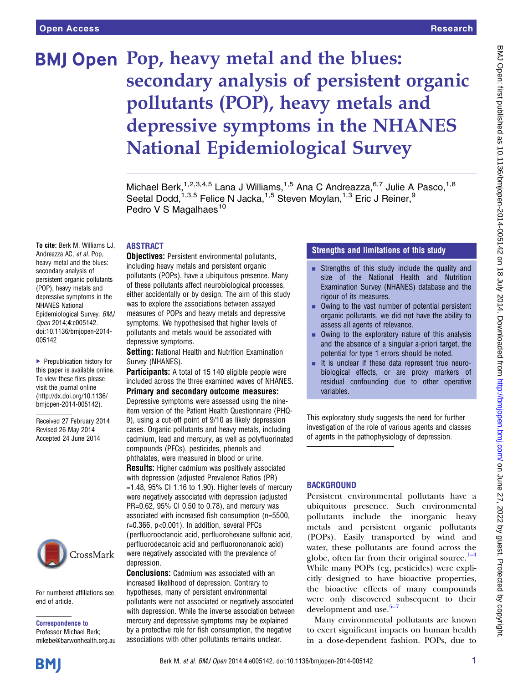# BMJ Open Pop, heavy metal and the blues: secondary analysis of persistent organic pollutants (POP), heavy metals and depressive symptoms in the NHANES National Epidemiological Survey

Michael Berk,<sup>1,2,3,4,5</sup> Lana J Williams,<sup>1,5</sup> Ana C Andreazza,<sup>6,7</sup> Julie A Pasco,<sup>1,8</sup> Seetal Dodd,<sup>1,3,5</sup> Felice N Jacka,<sup>1,5</sup> Steven Moylan,<sup>1,3</sup> Eric J Reiner,<sup>9</sup> Pedro V S Magalhaes<sup>10</sup>

#### ABSTRACT

To cite: Berk M, Williams LJ, Andreazza AC, et al. Pop, heavy metal and the blues: secondary analysis of persistent organic pollutants (POP), heavy metals and depressive symptoms in the NHANES National Epidemiological Survey. BMJ Open 2014;4:e005142. doi:10.1136/bmjopen-2014- 005142

▶ Prepublication history for this paper is available online. To view these files please visit the journal online [\(http://dx.doi.org/10.1136/](http://dx.doi.org/10.1136/bmjopen-2014-005142) [bmjopen-2014-005142](http://dx.doi.org/10.1136/bmjopen-2014-005142)).

Received 27 February 2014 Revised 26 May 2014 Accepted 24 June 2014



For numbered affiliations see end of article.

Correspondence to

Professor Michael Berk; mikebe@barwonhealth.org.au **Objectives:** Persistent environmental pollutants, including heavy metals and persistent organic pollutants (POPs), have a ubiquitous presence. Many of these pollutants affect neurobiological processes, either accidentally or by design. The aim of this study was to explore the associations between assayed measures of POPs and heavy metals and depressive symptoms. We hypothesised that higher levels of pollutants and metals would be associated with depressive symptoms.

Setting: National Health and Nutrition Examination Survey (NHANES).

Participants: A total of 15 140 eligible people were included across the three examined waves of NHANES.

Primary and secondary outcome measures: Depressive symptoms were assessed using the nineitem version of the Patient Health Questionnaire (PHQ-9), using a cut-off point of 9/10 as likely depression cases. Organic pollutants and heavy metals, including cadmium, lead and mercury, as well as polyfluorinated compounds (PFCs), pesticides, phenols and phthalates, were measured in blood or urine. **Results:** Higher cadmium was positively associated with depression (adjusted Prevalence Ratios (PR)  $=1.48$ , 95% CI 1.16 to 1.90). Higher levels of mercury were negatively associated with depression (adjusted PR=0.62, 95% CI 0.50 to 0.78), and mercury was associated with increased fish consumption (n=5500, r=0.366, p<0.001). In addition, several PFCs ( perfluorooctanoic acid, perfluorohexane sulfonic acid, perfluorodecanoic acid and perfluorononanoic acid) were negatively associated with the prevalence of depression.

Conclusions: Cadmium was associated with an increased likelihood of depression. Contrary to hypotheses, many of persistent environmental pollutants were not associated or negatively associated with depression. While the inverse association between mercury and depressive symptoms may be explained by a protective role for fish consumption, the negative associations with other pollutants remains unclear.

# Strengths and limitations of this study

- **Example 1** Strengths of this study include the quality and size of the National Health and Nutrition Examination Survey (NHANES) database and the rigour of its measures.
- $\blacksquare$  Owing to the vast number of potential persistent organic pollutants, we did not have the ability to assess all agents of relevance.
- $\blacksquare$  Owing to the exploratory nature of this analysis and the absence of a singular a-priori target, the potential for type 1 errors should be noted.
- **EXECUTE:** It is unclear if these data represent true neurobiological effects, or are proxy markers of residual confounding due to other operative variables.

This exploratory study suggests the need for further investigation of the role of various agents and classes of agents in the pathophysiology of depression.

# **BACKGROUND**

Persistent environmental pollutants have a ubiquitous presence. Such environmental pollutants include the inorganic heavy metals and persistent organic pollutants (POPs). Easily transported by wind and water, these pollutants are found across the globe, often far from their original source. $1-4$  $1-4$ While many POPs (eg, pesticides) were explicitly designed to have bioactive properties, the bioactive effects of many compounds were only discovere[d s](#page-7-0)ubsequent to their development and use. $5-7$ 

Many environmental pollutants are known to exert significant impacts on human health in a dose-dependent fashion. POPs, due to

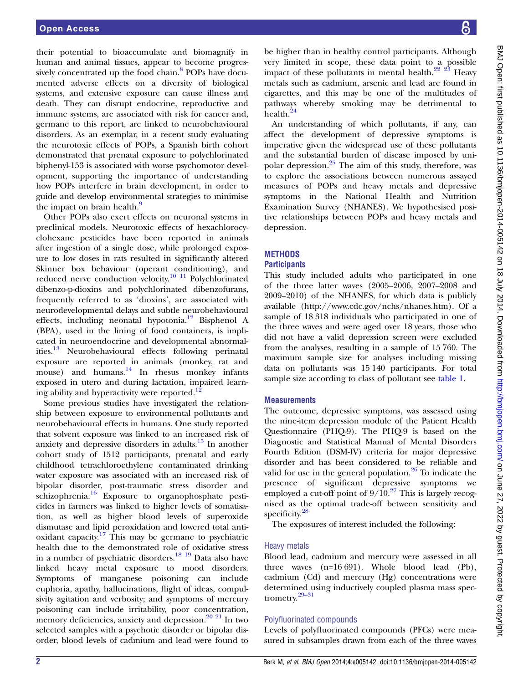their potential to bioaccumulate and biomagnify in human and animal tissues, appear to become progres-sively concentrated up the food chain.<sup>[8](#page-7-0)</sup> POPs have documented adverse effects on a diversity of biological systems, and extensive exposure can cause illness and death. They can disrupt endocrine, reproductive and immune systems, are associated with risk for cancer and, germane to this report, are linked to neurobehavioural disorders. As an exemplar, in a recent study evaluating the neurotoxic effects of POPs, a Spanish birth cohort demonstrated that prenatal exposure to polychlorinated biphenyl-153 is associated with worse psychomotor development, supporting the importance of understanding how POPs interfere in brain development, in order to guide and develop environmental strategies to minimise the impact on brain health.<sup>[9](#page-7-0)</sup>

Other POPs also exert effects on neuronal systems in preclinical models. Neurotoxic effects of hexachlorocyclohexane pesticides have been reported in animals after ingestion of a single dose, while prolonged exposure to low doses in rats resulted in significantly altered Skinner box behaviour (operant conditioning), and reduced nerve conduction velocity.[10 11](#page-7-0) Polychlorinated dibenzo-p-dioxins and polychlorinated dibenzofurans, frequently referred to as 'dioxins', are associated with neurodevelopmental delays and subtle neurobehavioural effects, including neonatal hypotonia.<sup>12</sup> Bisphenol A (BPA), used in the lining of food containers, is implicated in neuroendocrine and developmental abnormalities[.13](#page-7-0) Neurobehavioural effects following perinatal exposure are reported in animals (monkey, rat and mouse) and humans. $14$  In rhesus monkey infants exposed in utero and during lactation, impaired learn-ing ability and hyperactivity were reported.<sup>[12](#page-7-0)</sup>

Some previous studies have investigated the relationship between exposure to environmental pollutants and neurobehavioural effects in humans. One study reported that solvent exposure was linked to an increased risk of anxiety and depressive disorders in adults.<sup>[15](#page-7-0)</sup> In another cohort study of 1512 participants, prenatal and early childhood tetrachloroethylene contaminated drinking water exposure was associated with an increased risk of bipolar disorder, post-traumatic stress disorder and schizophrenia.[16](#page-7-0) Exposure to organophosphate pesticides in farmers was linked to higher levels of somatisation, as well as higher blood levels of superoxide dismutase and lipid peroxidation and lowered total antioxidant capacity.<sup>17</sup> This may be germane to psychiatric health due to the demonstrated role of oxidative stress in a number of psychiatric disorders.[18 19](#page-7-0) Data also have linked heavy metal exposure to mood disorders. Symptoms of manganese poisoning can include euphoria, apathy, hallucinations, flight of ideas, compulsivity agitation and verbosity; and symptoms of mercury poisoning can include irritability, poor concentration, memory deficiencies, anxiety and depression. $20\ 21$  In two selected samples with a psychotic disorder or bipolar disorder, blood levels of cadmium and lead were found to

be higher than in healthy control participants. Although very limited in scope, these data point to a possible impact of these pollutants in mental health. $22 \frac{23}{3}$  Heavy metals such as cadmium, arsenic and lead are found in cigarettes, and this may be one of the multitudes of pathways whereby smoking may be detrimental to health.<sup>[24](#page-7-0)</sup>

An understanding of which pollutants, if any, can affect the development of depressive symptoms is imperative given the widespread use of these pollutants and the substantial burden of disease imposed by unipolar depression.[25](#page-7-0) The aim of this study, therefore, was to explore the associations between numerous assayed measures of POPs and heavy metals and depressive symptoms in the National Health and Nutrition Examination Survey (NHANES). We hypothesised positive relationships between POPs and heavy metals and depression.

# **METHODS**

# **Participants**

This study included adults who participated in one of the three latter waves (2005–2006, 2007–2008 and 2009–2010) of the NHANES, for which data is publicly available [\(http://www.cdc.gov/nchs/nhanes.htm\)](http://www.cdc.gov/nchs/nhanes.htm). Of a sample of 18 318 individuals who participated in one of the three waves and were aged over 18 years, those who did not have a valid depression screen were excluded from the analyses, resulting in a sample of 15 760. The maximum sample size for analyses including missing data on pollutants was 15 140 participants. For total sample size according to class of pollutant see [table 1](#page-2-0).

# **Measurements**

The outcome, depressive symptoms, was assessed using the nine-item depression module of the Patient Health Questionnaire (PHQ-9). The PHQ-9 is based on the Diagnostic and Statistical Manual of Mental Disorders Fourth Edition (DSM-IV) criteria for major depressive disorder and has been considered to be reliable and valid for use in the general population.<sup>[26](#page-7-0)</sup> To indicate the presence of significant depressive symptoms we employed a cut-off point of  $9/10^{27}$  $9/10^{27}$  $9/10^{27}$  This is largely recognised as the optimal trade-off between sensitivity and specificity.<sup>[28](#page-7-0)</sup>

The exposures of interest included the following:

# Heavy metals

Blood lead, cadmium and mercury were assessed in all three waves (n=16 691). Whole blood lead (Pb), cadmium (Cd) and mercury (Hg) concentrations were determi[ned u](#page-7-0)sing inductively coupled plasma mass spectrometry.29–<sup>31</sup>

# Polyfluorinated compounds

Levels of polyfluorinated compounds (PFCs) were measured in subsamples drawn from each of the three waves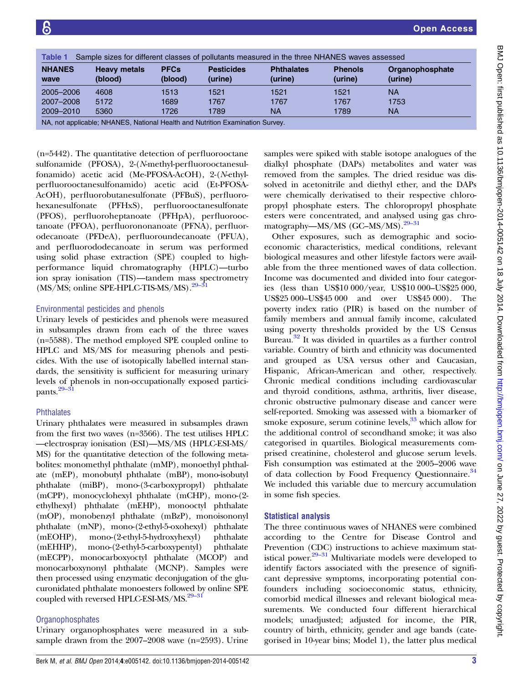<span id="page-2-0"></span>

| <b>Table 1</b><br>Sample sizes for different classes of pollutants measured in the three NHANES waves assessed |                                |                        |                              |                              |                           |                            |
|----------------------------------------------------------------------------------------------------------------|--------------------------------|------------------------|------------------------------|------------------------------|---------------------------|----------------------------|
| <b>NHANES</b><br>wave                                                                                          | <b>Heavy metals</b><br>(blood) | <b>PFCs</b><br>(blood) | <b>Pesticides</b><br>(urine) | <b>Phthalates</b><br>(urine) | <b>Phenols</b><br>(urine) | Organophosphate<br>(urine) |
| 2005-2006                                                                                                      | 4608                           | 1513                   | 1521                         | 1521                         | 1521                      | <b>NA</b>                  |
| 2007-2008                                                                                                      | 5172                           | 1689                   | 1767                         | 1767                         | 1767                      | 1753                       |
| 2009-2010                                                                                                      | 5360                           | 1726                   | 1789                         | ΝA                           | 1789                      | <b>NA</b>                  |
| NA, not applicable; NHANES, National Health and Nutrition Examination Survey.                                  |                                |                        |                              |                              |                           |                            |

(n=5442). The quantitative detection of perfluorooctane sulfonamide (PFOSA), 2-(N-methyl-perfluorooctanesulfonamido) acetic acid (Me-PFOSA-AcOH), 2-(N-ethylperfluorooctanesulfonamido) acetic acid (Et-PFOSA-AcOH), perfluorobutanesulfonate (PFBuS), perfluorohexanesulfonate (PFHxS), perfluorooctanesulfonate (PFOS), perfluoroheptanoate (PFHpA), perfluorooctanoate (PFOA), perfluorononanoate (PFNA), perfluorodecanoate (PFDeA), perfluoroundecanoate (PFUA), and perfluorododecanoate in serum was performed using solid phase extraction (SPE) coupled to highperformance liquid chromatography (HPLC)—turbo ion spray ionisation (TIS)—tandem ma[ss spe](#page-7-0)ctrometry  $(MS/MS;$  online SPE-HPLC-TIS-MS/MS).<sup>29–31</sup>

# Environmental pesticides and phenols

Urinary levels of pesticides and phenols were measured in subsamples drawn from each of the three waves (n=5588). The method employed SPE coupled online to HPLC and MS/MS for measuring phenols and pesticides. With the use of isotopically labelled internal standards, the sensitivity is sufficient for measuring urinary levels of phenols in non-occupationally exposed partici-pants.<sup>[29](#page-7-0)–3</sup>

# **Phthalates**

Urinary phthalates were measured in subsamples drawn from the first two waves (n=3566). The test utilises HPLC —electrospray ionisation (ESI)—MS/MS (HPLC-ESI-MS/ MS) for the quantitative detection of the following metabolites: monomethyl phthalate (mMP), monoethyl phthalate (mEP), monobutyl phthalate (mBP), mono-isobutyl phthalate (miBP), mono-(3-carboxypropyl) phthalate (mCPP), monocyclohexyl phthalate (mCHP), mono-(2 ethylhexyl) phthalate (mEHP), monooctyl phthalate (mOP), monobenzyl phthalate (mBzP), monoisononyl phthalate (mNP), mono-(2-ethyl-5-oxohexyl) phthalate (mEOHP), mono-(2-ethyl-5-hydroxyhexyl) phthalate (mEHHP), mono-(2-ethyl-5-carboxypentyl) phthalate (mECPP), monocarboxyoctyl phthalate (MCOP) and monocarboxynonyl phthalate (MCNP). Samples were then processed using enzymatic deconjugation of the glucuronidated phthalate monoesters followed by online SPE coupled with reversed HPLC-ESI-MS/MS.<sup>29-31</sup>

# **Organophosphates**

Urinary organophosphates were measured in a subsample drawn from the 2007–2008 wave (n=2593). Urine samples were spiked with stable isotope analogues of the dialkyl phosphate (DAPs) metabolites and water was removed from the samples. The dried residue was dissolved in acetonitrile and diethyl ether, and the DAPs were chemically derivatised to their respective chloropropyl phosphate esters. The chloropropyl phosphate esters were concentrated, and analy[sed u](#page-7-0)sing gas chromatography—MS/MS (GC–MS/MS).<sup>29–31</sup>

Other exposures, such as demographic and socioeconomic characteristics, medical conditions, relevant biological measures and other lifestyle factors were available from the three mentioned waves of data collection. Income was documented and divided into four categories (less than US\$10 000/year, US\$10 000–US\$25 000, US\$25 000–US\$45 000 and over US\$45 000). The poverty index ratio (PIR) is based on the number of family members and annual family income, calculated using poverty thresholds provided by the US Census Bureau.[32](#page-7-0) It was divided in quartiles as a further control variable. Country of birth and ethnicity was documented and grouped as USA versus other and Caucasian, Hispanic, African-American and other, respectively. Chronic medical conditions including cardiovascular and thyroid conditions, asthma, arthritis, liver disease, chronic obstructive pulmonary disease and cancer were self-reported. Smoking was assessed with a biomarker of smoke exposure, serum cotinine levels, $33$  which allow for the additional control of secondhand smoke; it was also categorised in quartiles. Biological measurements comprised creatinine, cholesterol and glucose serum levels. Fish consumption was estimated at the 2005–2006 wave of data collection by Food Frequency Questionnaire.<sup>[34](#page-7-0)</sup> We included this variable due to mercury accumulation in some fish species.

# Statistical analysis

The three continuous waves of NHANES were combined according to the Centre for Disease Control and Prevention (CDC) instructions to achieve maximum statistical power. $29-31$  Multivariate models were developed to identify factors associated with the presence of significant depressive symptoms, incorporating potential confounders including socioeconomic status, ethnicity, comorbid medical illnesses and relevant biological measurements. We conducted four different hierarchical models; unadjusted; adjusted for income, the PIR, country of birth, ethnicity, gender and age bands (categorised in 10-year bins; Model 1), the latter plus medical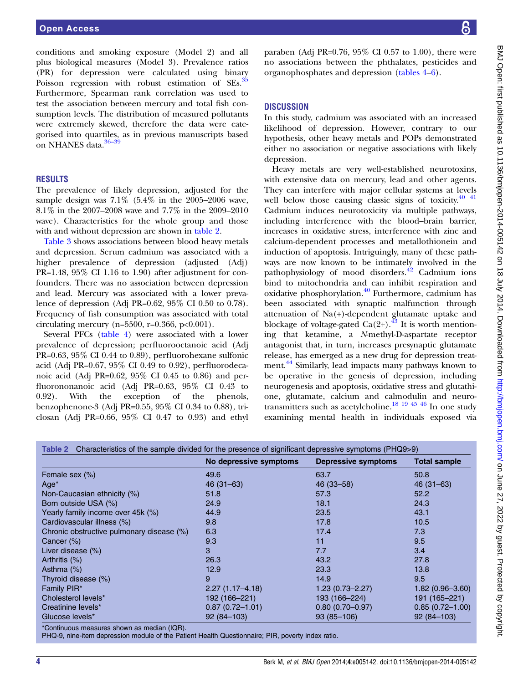conditions and smoking exposure (Model 2) and all plus biological measures (Model 3). Prevalence ratios (PR) for depression were calculated using binary Poisson regression with robust estimation of SEs.<sup>[35](#page-7-0)</sup> Furthermore, Spearman rank correlation was used to test the association between mercury and total fish consumption levels. The distribution of measured pollutants were extremely skewed, therefore the data were categorised into quartiles, as in previous manuscripts based on NHANES data.<sup>[36](#page-7-0)-39</sup>

#### RESULTS

The prevalence of likely depression, adjusted for the sample design was 7.1% (5.4% in the 2005–2006 wave, 8.1% in the 2007–2008 wave and 7.7% in the 2009–2010 wave). Characteristics for the whole group and those with and without depression are shown in table 2.

[Table 3](#page-4-0) shows associations between blood heavy metals and depression. Serum cadmium was associated with a higher prevalence of depression (adjusted (Adj) PR=1.48, 95% CI 1.16 to 1.90) after adjustment for confounders. There was no association between depression and lead. Mercury was associated with a lower prevalence of depression (Adj PR=0.62, 95% CI 0.50 to 0.78). Frequency of fish consumption was associated with total circulating mercury (n= $5500$ , r= $0.366$ , p< $0.001$ ).

Several PFCs [\(table 4\)](#page-4-0) were associated with a lower prevalence of depression; perfluorooctanoic acid (Adj PR=0.63, 95% CI 0.44 to 0.89), perfluorohexane sulfonic acid (Adj PR=0.67, 95% CI 0.49 to 0.92), perfluorodecanoic acid (Adj PR=0.62, 95% CI 0.45 to 0.86) and perfluorononanoic acid (Adj PR=0.63, 95% CI 0.43 to 0.92). With the exception of the phenols, benzophenone-3 (Adj PR=0.55, 95% CI 0.34 to 0.88), triclosan (Adj PR=0.66, 95% CI 0.47 to 0.93) and ethyl BMJ Open: first published as 10.1136/bmjopen-2014-005142 on 18 July 2014. Downloaded from http://bmjopen.bmj.com/ on June 27, 2022 by guest. Protected by copyright BMJ Open: first published as 10.1136/bmjopen-2014-005142 on 18 July 2014. Downloaded from <http://bmjopen.bmj.com/> on June 27, 2022 by guest. Protected by copyright.

paraben (Adj PR=0.76, 95% CI 0.57 to 1.00), there were no associations between the phthalates, pesticides and organophosphates and depression ([tables 4](#page-4-0)–[6\)](#page-5-0).

#### **DISCUSSION**

In this study, cadmium was associated with an increased likelihood of depression. However, contrary to our hypothesis, other heavy metals and POPs demonstrated either no association or negative associations with likely depression.

Heavy metals are very well-established neurotoxins, with extensive data on mercury, lead and other agents. They can interfere with major cellular systems at levels well below those causing classic signs of toxicity. $40\frac{41}{11}$ Cadmium induces neurotoxicity via multiple pathways, including interference with the blood–brain barrier, increases in oxidative stress, interference with zinc and calcium-dependent processes and metallothionein and induction of apoptosis. Intriguingly, many of these pathways are now known to be intimately involved in the pathophysiology of mood disorders. $42$  Cadmium ions bind to mitochondria and can inhibit respiration and oxidative phosphorylation.[40](#page-7-0) Furthermore, cadmium has been associated with synaptic malfunction through attenuation of Na(+)-dependent glutamate uptake and blockage of voltage-gated Ca(2+).<sup>[43](#page-7-0)</sup> It is worth mentioning that ketamine, a N-methyl-D-aspartate receptor antagonist that, in turn, increases presynaptic glutamate release, has emerged as a new drug for depression treat-ment.<sup>[44](#page-7-0)</sup> Similarly, lead impacts many pathways known to be operative in the genesis of depression, including neurogenesis and apoptosis, oxidative stress and glutathione, glutamate, calcium and calmodulin and neurotransmitters such as acetylcholine.<sup>18 19 45 46</sup> In one study examining mental health in individuals exposed via

|                                           | No depressive symptoms | <b>Depressive symptoms</b> | <b>Total sample</b> |
|-------------------------------------------|------------------------|----------------------------|---------------------|
| Female sex (%)                            | 49.6                   | 63.7                       | 50.8                |
| $Age*$                                    | $46(31-63)$            | 46 (33 - 58)               | $46(31-63)$         |
| Non-Caucasian ethnicity (%)               | 51.8                   | 57.3                       | 52.2                |
| Born outside USA (%)                      | 24.9                   | 18.1                       | 24.3                |
| Yearly family income over 45k (%)         | 44.9                   | 23.5                       | 43.1                |
| Cardiovascular illness (%)                | 9.8                    | 17.8                       | 10.5                |
| Chronic obstructive pulmonary disease (%) | 6.3                    | 17.4                       | 7.3                 |
| Cancer (%)                                | 9.3                    | 11                         | 9.5                 |
| Liver disease (%)                         | 3                      | 7.7                        | 3.4                 |
| Arthritis (%)                             | 26.3                   | 43.2                       | 27.8                |
| Asthma $(\%)$                             | 12.9                   | 23.3                       | 13.8                |
| Thyroid disease (%)                       | 9                      | 14.9                       | 9.5                 |
| Family PIR*                               | $2.27(1.17 - 4.18)$    | $1.23(0.73 - 2.27)$        | $1.82(0.96 - 3.60)$ |
| Cholesterol levels*                       | 192 (166-221)          | 193 (166-224)              | 191 (165-221)       |
| Creatinine levels*                        | $0.87(0.72 - 1.01)$    | $0.80(0.70 - 0.97)$        | $0.85(0.72 - 1.00)$ |
| Glucose levels*                           | $92(84 - 103)$         | $93(85 - 106)$             | $92(84 - 103)$      |

Continuous measures shown as median (IQR).

PHQ-9, nine-item depression module of the Patient Health Questionnaire; PIR, poverty index ratio.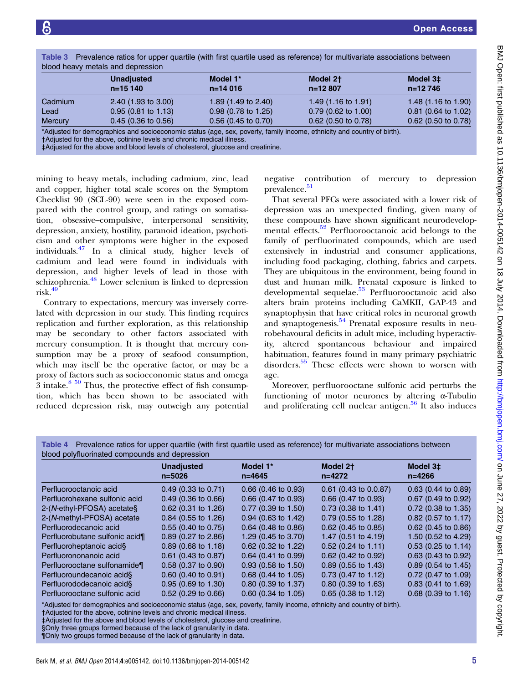| blood heavy metals and depression |                                |                         |                                                                                                                 |                                |  |  |
|-----------------------------------|--------------------------------|-------------------------|-----------------------------------------------------------------------------------------------------------------|--------------------------------|--|--|
|                                   | <b>Unadjusted</b><br>$n=15140$ | Model 1*<br>$n = 14016$ | Model 2 <sup>+</sup><br>$n=12807$                                                                               | Model 3‡<br>$n=12746$          |  |  |
| Cadmium                           | $2.40$ (1.93 to 3.00)          | 1.89 (1.49 to 2.40)     | 1.49 $(1.16 \text{ to } 1.91)$                                                                                  | 1.48 $(1.16 \text{ to } 1.90)$ |  |  |
| Lead                              | $0.95(0.81 \text{ to } 1.13)$  | $0.98$ (0.78 to 1.25)   | $0.79$ (0.62 to 1.00)                                                                                           | $0.81$ (0.64 to 1.02)          |  |  |
| <b>Mercury</b>                    | $0.45$ (0.36 to 0.56)          | $0.56$ (0.45 to 0.70)   | $0.62$ (0.50 to 0.78)                                                                                           | $0.62$ (0.50 to 0.78)          |  |  |
|                                   |                                |                         | the contract of the contract of the contract of the contract of the contract of the contract of the contract of | .                              |  |  |

<span id="page-4-0"></span>Table 3 Prevalence ratios for upper quartile (with first quartile used as reference) for multivariate associations between

\*Adjusted for demographics and socioeconomic status (age, sex, poverty, family income, ethnicity and country of birth).

†Adjusted for the above, cotinine levels and chronic medical illness.

‡Adjusted for the above and blood levels of cholesterol, glucose and creatinine.

mining to heavy metals, including cadmium, zinc, lead and copper, higher total scale scores on the Symptom Checklist 90 (SCL-90) were seen in the exposed compared with the control group, and ratings on somatisation, obsessive–compulsive, interpersonal sensitivity, depression, anxiety, hostility, paranoid ideation, psychoticism and other symptoms were higher in the exposed individuals. $47$  In a clinical study, higher levels of cadmium and lead were found in individuals with depression, and higher levels of lead in those with schizophrenia.<sup>[48](#page-7-0)</sup> Lower selenium is linked to depression  $risk.<sup>49</sup>$  $risk.<sup>49</sup>$  $risk.<sup>49</sup>$ 

Contrary to expectations, mercury was inversely correlated with depression in our study. This finding requires replication and further exploration, as this relationship may be secondary to other factors associated with mercury consumption. It is thought that mercury consumption may be a proxy of seafood consumption, which may itself be the operative factor, or may be a proxy of factors such as socioeconomic status and omega 3 intake. $8\frac{50}{1}$  Thus, the protective effect of fish consumption, which has been shown to be associated with reduced depression risk, may outweigh any potential

negative contribution of mercury to depression prevalence.<sup>[51](#page-7-0)</sup>

That several PFCs were associated with a lower risk of depression was an unexpected finding, given many of these compounds have shown significant neurodevelop-mental effects.<sup>[52](#page-7-0)</sup> Perfluorooctanoic acid belongs to the family of perfluorinated compounds, which are used extensively in industrial and consumer applications, including food packaging, clothing, fabrics and carpets. They are ubiquitous in the environment, being found in dust and human milk. Prenatal exposure is linked to developmental sequelae.<sup>[53](#page-7-0)</sup> Perfluorooctanoic acid also alters brain proteins including CaMKII, GAP-43 and synaptophysin that have critical roles in neuronal growth and synaptogenesis.<sup>[54](#page-7-0)</sup> Prenatal exposure results in neurobehavoural deficits in adult mice, including hyperactivity, altered spontaneous behaviour and impaired habituation, features found in many primary psychiatric disorders[.55](#page-7-0) These effects were shown to worsen with age.

Moreover, perfluorooctane sulfonic acid perturbs the functioning of motor neurones by altering α-Tubulin and proliferating cell nuclear antigen. $56$  It also induces

Table 4 Prevalence ratios for upper quartile (with first quartile used as reference) for multivariate associations between blood polyfluorinated compounds and depression

|                                                                                                                                                                                                                                                                                             | <b>Unadjusted</b><br>$n = 5026$ | Model 1*<br>$n = 4645$ | Model 2 <sup>+</sup><br>n=4272 | Model 3‡<br>n=4266    |
|---------------------------------------------------------------------------------------------------------------------------------------------------------------------------------------------------------------------------------------------------------------------------------------------|---------------------------------|------------------------|--------------------------------|-----------------------|
| Perfluorooctanoic acid                                                                                                                                                                                                                                                                      | $0.49$ (0.33 to 0.71)           | $0.66$ (0.46 to 0.93)  | $0.61$ (0.43 to 0.0.87)        | $0.63$ (0.44 to 0.89) |
| Perfluorohexane sulfonic acid                                                                                                                                                                                                                                                               | $0.49$ (0.36 to 0.66)           | $0.66$ (0.47 to 0.93)  | $0.66$ (0.47 to 0.93)          | $0.67$ (0.49 to 0.92) |
| 2-(N-ethyl-PFOSA) acetate§                                                                                                                                                                                                                                                                  | $0.62$ (0.31 to 1.26)           | $0.77$ (0.39 to 1.50)  | $0.73$ (0.38 to 1.41)          | $0.72$ (0.38 to 1.35) |
| 2-(N-methyl-PFOSA) acetate                                                                                                                                                                                                                                                                  | $0.84$ (0.55 to 1.26)           | $0.94$ (0.63 to 1.42)  | $0.79$ (0.55 to 1.28)          | $0.82$ (0.57 to 1.17) |
| Perfluorodecanoic acid                                                                                                                                                                                                                                                                      | $0.55$ (0.40 to 0.75)           | $0.64$ (0.48 to 0.86)  | $0.62$ (0.45 to 0.85)          | $0.62$ (0.45 to 0.86) |
| Perfluorobutane sulfonic acid¶                                                                                                                                                                                                                                                              | 0.89 (0.27 to 2.86)             | 1.29 (0.45 to 3.70)    | 1.47 (0.51 to 4.19)            | 1.50 (0.52 to 4.29)   |
| Perfluoroheptanoic acid§                                                                                                                                                                                                                                                                    | $0.89$ (0.68 to 1.18)           | $0.62$ (0.32 to 1.22)  | $0.52$ (0.24 to 1.11)          | $0.53$ (0.25 to 1.14) |
| Perfluorononanoic acid                                                                                                                                                                                                                                                                      | $0.61$ (0.43 to 0.87)           | $0.64$ (0.41 to 0.99)  | $0.62$ (0.42 to 0.92)          | $0.63$ (0.43 to 0.92) |
| Perfluorooctane sulfonamide¶                                                                                                                                                                                                                                                                | $0.58$ (0.37 to 0.90)           | $0.93$ (0.58 to 1.50)  | $0.89$ (0.55 to 1.43)          | $0.89$ (0.54 to 1.45) |
| Perfluoroundecanoic acid§                                                                                                                                                                                                                                                                   | $0.60$ (0.40 to 0.91)           | $0.68$ (0.44 to 1.05)  | $0.73$ (0.47 to 1.12)          | $0.72$ (0.47 to 1.09) |
| Perfluorododecanoic acid§                                                                                                                                                                                                                                                                   | $0.95$ (0.69 to 1.30)           | 0.80 (0.39 to 1.37)    | $0.80$ (0.39 to 1.63)          | $0.83$ (0.41 to 1.69) |
| Perfluorooctane sulfonic acid                                                                                                                                                                                                                                                               | $0.52$ (0.29 to 0.66)           | $0.60$ (0.34 to 1.05)  | $0.65$ (0.38 to 1.12)          | $0.68$ (0.39 to 1.16) |
| *Adjusted for demographics and socioeconomic status (age, sex, poverty, family income, ethnicity and country of birth).<br>†Adjusted for the above, cotinine levels and chronic medical illness.<br><b>EAdjusted for the above and blood levels of cholesterol, glucose and creatinine.</b> |                                 |                        |                                |                       |

‡Adjusted for the above and blood levels of cholesterol, glucose and creatinine.

§Only three groups formed because of the lack of granularity in data.

¶Only two groups formed because of the lack of granularity in data.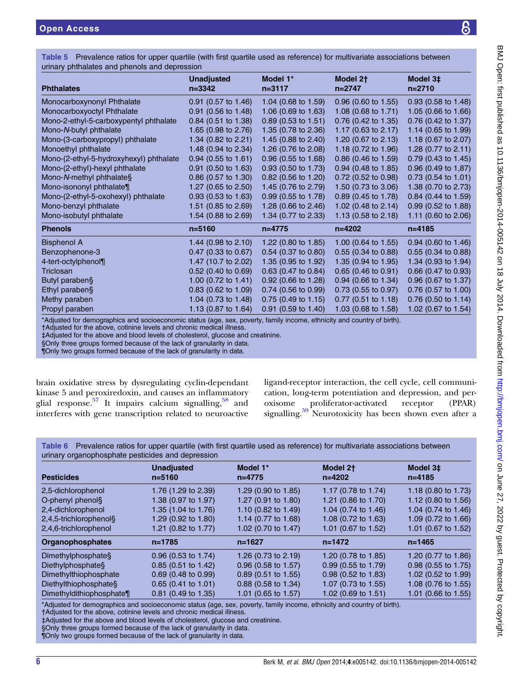<span id="page-5-0"></span>Table 5 Prevalence ratios for upper quartile (with first quartile used as reference) for multivariate associations between urinary phthalates and phenols and depression

| $\ldots$ , $\ldots$ is a considered and $\ldots$ is the contract as produced in |                                 |                        |                                    |                                |  |  |
|---------------------------------------------------------------------------------|---------------------------------|------------------------|------------------------------------|--------------------------------|--|--|
| <b>Phthalates</b>                                                               | <b>Unadjusted</b><br>$n = 3342$ | Model 1*<br>$n = 3117$ | Model 2 <sup>+</sup><br>$n = 2747$ | Model 3‡<br>$n = 2710$         |  |  |
| Monocarboxynonyl Phthalate                                                      | $0.91$ (0.57 to 1.46)           | 1.04 (0.68 to 1.59)    | $0.96$ (0.60 to 1.55)              | $0.93$ (0.58 to 1.48)          |  |  |
| Monocarboxyoctyl Phthalate                                                      | $0.91$ (0.56 to 1.48)           | 1.06 (0.69 to 1.63)    | 1.08 $(0.68 \text{ to } 1.71)$     | 1.05 (0.66 to 1.66)            |  |  |
| Mono-2-ethyl-5-carboxypentyl phthalate                                          | $0.84$ (0.51 to 1.38)           | $0.89$ (0.53 to 1.51)  | $0.76$ (0.42 to 1.35)              | $0.76$ (0.42 to 1.37)          |  |  |
| Mono-N-butyl phthalate                                                          | 1.65 (0.98 to 2.76)             | 1.35 (0.78 to 2.36)    | 1.17 $(0.63 \text{ to } 2.17)$     | 1.14 $(0.65 \text{ to } 1.99)$ |  |  |
| Mono-(3-carboxypropyl) phthalate                                                | 1.34 (0.82 to 2.21)             | 1.45 (0.88 to 2.40)    | 1.20 (0.67 to 2.13)                | 1.18 $(0.67 \text{ to } 2.07)$ |  |  |
| Monoethyl phthalate                                                             | 1.48 (0.94 to 2.34)             | 1.26 (0.76 to 2.08)    | 1.18 $(0.72 \text{ to } 1.96)$     | 1.28 $(0.77$ to 2.11)          |  |  |
| Mono-(2-ethyl-5-hydroxyhexyl) phthalate                                         | $0.94$ (0.55 to 1.61)           | 0.96 (0.55 to 1.68)    | 0.86 (0.46 to 1.59)                | 0.79 (0.43 to 1.45)            |  |  |
| Mono-(2-ethyl)-hexyl phthalate                                                  | $0.91$ (0.50 to 1.63)           | $0.93$ (0.50 to 1.73)  | $0.94$ (0.48 to 1.85)              | $0.96$ (0.49 to 1,87)          |  |  |
| Mono-N-methyl phthalate§                                                        | 0.86 (0.57 to 1.30)             | $0.82$ (0.56 to 1.20)  | $0.72$ (0.52 to 0.98)              | $0.73$ (0.54 to 1.01)          |  |  |
| Mono-isononyl phthalate¶                                                        | 1.27 (0.65 to 2.50)             | 1.45 (0.76 to 2.79)    | 1.50 (0.73 to 3.06)                | 1.38 (0.70 to 2.73)            |  |  |
| Mono-(2-ethyl-5-oxohexyl) phthalate                                             | $0.93$ (0.53 to 1.63)           | $0.99$ (0.55 to 1.78)  | $0.89$ (0.45 to 1.78)              | 0.84 (0.44 to 1.59)            |  |  |
| Mono-benzyl phthalate                                                           | 1.51 (0.85 to 2.69)             | 1.28 (0.66 to 2.46)    | 1.02 $(0.48 \text{ to } 2.14)$     | $0.99$ (0.52 to 1.88)          |  |  |
| Mono-isobutyl phthalate                                                         | 1.54 (0.88 to 2.69)             | 1.34 (0.77 to 2.33)    | 1.13 $(0.58 \text{ to } 2.18)$     | 1.11 (0.60 to 2.06)            |  |  |
| <b>Phenols</b>                                                                  | $n = 5160$                      | $n = 4775$             | $n = 4202$                         | $n = 4185$                     |  |  |
| <b>Bisphenol A</b>                                                              | 1.44 $(0.98 \text{ to } 2.10)$  | 1.22 (0.80 to 1.85)    | 1.00 $(0.64 \text{ to } 1.55)$     | $0.94$ (0.60 to 1.46)          |  |  |
| Benzophenone-3                                                                  | $0.47$ (0.33 to 0.67)           | 0.54 (0.37 to 0.80)    | $0.55$ (0.34 to 0.88)              | $0.55$ (0.34 to 0.88)          |  |  |
| 4-tert-octylphenol¶                                                             | 1.47 (10.7 to 2.02)             | 1.35 (0.95 to 1.92)    | 1.35 (0.94 to 1.95)                | 1.34 (0.93 to 1.94)            |  |  |
| Triclosan                                                                       | $0.52$ (0.40 to 0.69)           | 0.63 (0.47 to 0.84)    | $0.65$ (0.46 to 0.91)              | $0.66$ (0.47 to 0.93)          |  |  |
| Butyl paraben§                                                                  | 1.00 $(0.72 \text{ to } 1.41)$  | $0.92$ (0.66 to 1.28)  | $0.94$ (0.66 to 1.34)              | $0.96$ (0.67 to 1.37)          |  |  |
| Ethyl paraben§                                                                  | $0.83$ (0.62 to 1.09)           | 0.74 (0.56 to 0.99)    | 0.73 (0.55 to 0.97)                | $0.76$ (0.57 to 1.00)          |  |  |
| Methy paraben                                                                   | 1.04 $(0.73 \text{ to } 1.48)$  | $0.75$ (0.49 to 1.15)  | $0.77$ (0.51 to 1.18)              | $0.76$ (0.50 to 1.14)          |  |  |
| Propyl paraben                                                                  | 1.13 (0.87 to 1.64)             | 0.91 (0.59 to 1.40)    | 1.03 (0.68 to 1.58)                | 1.02 (0.67 to 1.54)            |  |  |

\*Adjusted for demographics and socioeconomic status (age, sex, poverty, family income, ethnicity and country of birth).

†Adjusted for the above, cotinine levels and chronic medical illness.

‡Adjusted for the above and blood levels of cholesterol, glucose and creatinine.

§Only three groups formed because of the lack of granularity in data.

¶Only two groups formed because of the lack of granularity in data.

brain oxidative stress by dysregulating cyclin-dependant kinase 5 and peroxiredoxin, and causes an inflammatory glial response.<sup>[57](#page-8-0)</sup> It impairs calcium signalling,  $58$  and interferes with gene transcription related to neuroactive ligand-receptor interaction, the cell cycle, cell communication, long-term potentiation and depression, and per-<br>oxisome proliferator-activated receptor (PPAR) oxisome proliferator-activated receptor (PPAR) signalling.<sup>[59](#page-8-0)</sup> Neurotoxicity has been shown even after a

Table 6 Prevalence ratios for upper quartile (with first quartile used as reference) for multivariate associations between urinary organophosphate pesticides and depression

| <b>Pesticides</b>        | <b>Unadjusted</b><br>$n = 5160$ | Model 1*<br>$n=4775$           | Model 2 <sup>+</sup><br>$n = 4202$ | Model 3‡<br>$n = 4185$         |
|--------------------------|---------------------------------|--------------------------------|------------------------------------|--------------------------------|
| 2,5-dichlorophenol       | 1.76 (1.29 to 2.39)             | 1.29 $(0.90 \text{ to } 1.85)$ | 1.17 (0.78 to 1.74)                | 1.18 (0.80 to 1.73)            |
| O-phenyl phenol§         | 1.38 (0.97 to 1.97)             | 1.27 (0.91 to 1.80)            | 1.21 (0.86 to 1.70)                | 1.12 $(0.80 \text{ to } 1.56)$ |
| 2,4-dichlorophenol       | 1.35 (1.04 to 1.76)             | 1.10 (0.82 to 1.49)            | 1.04 (0.74 to 1.46)                | 1.04 (0.74 to $1.46$ )         |
| 2,4,5-trichlorophenol§   | 1.29 (0.92 to 1.80)             | 1.14 (0.77 to 1.68)            | 1.08 (0.72 to 1.63)                | 1.09 $(0.72 \text{ to } 1.66)$ |
| 2,4,6-trichlorophenol    | 1.21 (0.82 to 1.77)             | 1.02 (0.70 to 1.47)            | 1.01 (0.67 to 1.52)                | 1.01 (0.67 to 1.52)            |
| <b>Organophosphates</b>  | n=1785                          | $n = 1627$                     | $n = 1472$                         | $n = 1465$                     |
| Dimethylphosphates       | $0.96$ (0.53 to 1.74)           | 1.26 (0.73 to 2.19)            | 1.20 (0.78 to 1.85)                | 1.20 (0.77 to 1.86)            |
| Diethylphosphate§        | $0.85$ (0.51 to 1.42)           | $0.96$ (0.58 to 1.57)          | $0.99$ (0.55 to 1.79)              | $0.98$ (0.55 to 1.75)          |
| Dimethylthiophosphate    | $0.69$ (0.48 to 0.99)           | $0.89$ (0.51 to 1.55)          | $0.98$ (0.52 to 1.83)              | 1.02 (0.52 to 1.99)            |
| Diethylthiophosphate§    | $0.65$ (0.41 to 1.01)           | 0.88 (0.58 to 1.34)            | 1.07 (0.73 to 1.55)                | 1.08 (0.76 to 1.55)            |
| Dimethyldithiophosphate¶ | $0.81$ (0.49 to 1.35)           | 1.01 (0.65 to 1.57)            | 1.02 (0.69 to 1.51)                | 1.01 (0.66 to 1.55)            |

\*Adjusted for demographics and socioeconomic status (age, sex, poverty, family income, ethnicity and country of birth).

†Adjusted for the above, cotinine levels and chronic medical illness.

‡Adjusted for the above and blood levels of cholesterol, glucose and creatinine.

§Only three groups formed because of the lack of granularity in data.

¶Only two groups formed because of the lack of granularity in data.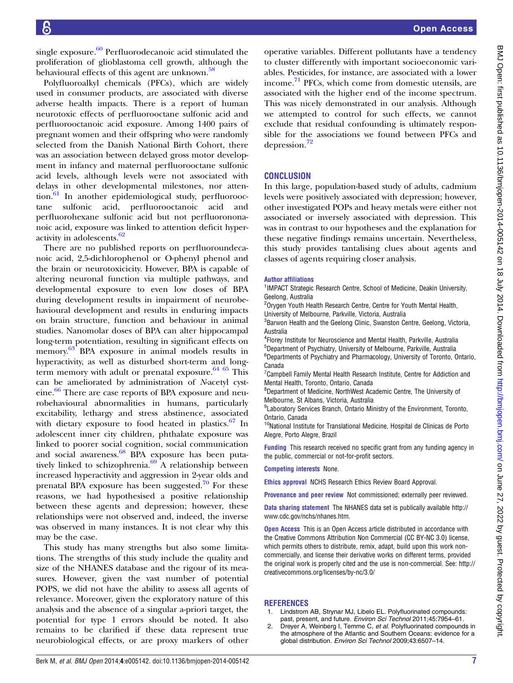<span id="page-6-0"></span>single exposure. $60$  Perfluorodecanoic acid stimulated the proliferation of glioblastoma cell growth, although the behavioural effects of this agent are unknown.<sup>[58](#page-8-0)</sup>

Polyfluoroalkyl chemicals (PFCs), which are widely used in consumer products, are associated with diverse adverse health impacts. There is a report of human neurotoxic effects of perfluorooctane sulfonic acid and perfluorooctanoic acid exposure. Among 1400 pairs of pregnant women and their offspring who were randomly selected from the Danish National Birth Cohort, there was an association between delayed gross motor development in infancy and maternal perfluorooctane sulfonic acid levels, although levels were not associated with delays in other developmental milestones, nor atten-tion.<sup>[61](#page-8-0)</sup> In another epidemiological study, perfluorooctane sulfonic acid, perfluorooctanoic acid and perfluorohexane sulfonic acid but not perfluorononanoic acid, exposure was linked to attention deficit hyperactivity in adolescents.[62](#page-8-0)

There are no published reports on perfluoroundecanoic acid, 2,5-dichlorophenol or O-phenyl phenol and the brain or neurotoxicicity. However, BPA is capable of altering neuronal function via multiple pathways, and developmental exposure to even low doses of BPA during development results in impairment of neurobehavioural development and results in enduring impacts on brain structure, function and behaviour in animal studies. Nanomolar doses of BPA can alter hippocampal long-term potentiation, resulting in significant effects on memory.<sup>[63](#page-8-0)</sup> BPA exposure in animal models results in hyperactivity, as well as disturbed short-term and longterm memory with adult or prenatal exposure. $64~65$  This can be ameliorated by administration of N-acetyl cyst-eine.<sup>[66](#page-8-0)</sup> There are case reports of BPA exposure and neurobehavioural abnormalities in humans, particularly excitability, lethargy and stress abstinence, associated with dietary exposure to food heated in plastics. $67$  In adolescent inner city children, phthalate exposure was linked to poorer social cognition, social communication and social awareness.<sup>[68](#page-8-0)</sup> BPA exposure has been putatively linked to schizophrenia. $69A$  $69A$  relationship between increased hyperactivity and aggression in 2-year olds and prenatal BPA exposure has been suggested.<sup>[70](#page-8-0)</sup> For these reasons, we had hypothesised a positive relationship between these agents and depression; however, these relationships were not observed and, indeed, the inverse was observed in many instances. It is not clear why this may be the case.

This study has many strengths but also some limitations. The strengths of this study include the quality and size of the NHANES database and the rigour of its measures. However, given the vast number of potential POPS, we did not have the ability to assess all agents of relevance. Moreover, given the exploratory nature of this analysis and the absence of a singular a-priori target, the potential for type 1 errors should be noted. It also remains to be clarified if these data represent true neurobiological effects, or are proxy markers of other

operative variables. Different pollutants have a tendency to cluster differently with important socioeconomic variables. Pesticides, for instance, are associated with a lower income.[71](#page-8-0) PFCs, which come from domestic utensils, are associated with the higher end of the income spectrum. This was nicely demonstrated in our analysis. Although we attempted to control for such effects, we cannot exclude that residual confounding is ultimately responsible for the associations we found between PFCs and depression.[72](#page-8-0)

# **CONCLUSION**

In this large, population-based study of adults, cadmium levels were positively associated with depression; however, other investigated POPs and heavy metals were either not associated or inversely associated with depression. This was in contrast to our hypotheses and the explanation for these negative findings remains uncertain. Nevertheless, this study provides tantalising clues about agents and classes of agents requiring closer analysis.

#### Author affiliations

<sup>1</sup>IMPACT Strategic Research Centre, School of Medicine, Deakin University, Geelong, Australia

<sup>2</sup>Orygen Youth Health Research Centre, Centre for Youth Mental Health, University of Melbourne, Parkville, Victoria, Australia

<sup>3</sup>Barwon Health and the Geelong Clinic, Swanston Centre, Geelong, Victoria, Australia

 Florey Institute for Neuroscience and Mental Health, Parkville, Australia Department of Psychiatry, University of Melbourne, Parkville, Australia Departments of Psychiatry and Pharmacology, University of Toronto, Ontario, Canada

<sup>7</sup> Campbell Family Mental Health Research Institute, Centre for Addiction and Mental Health, Toronto, Ontario, Canada

8 Department of Medicine, NorthWest Academic Centre, The University of Melbourne, St Albans, Victoria, Australia

<sup>9</sup> Laboratory Services Branch, Ontario Ministry of the Environment, Toronto, Ontario, Canada

10National Institute for Translational Medicine, Hospital de Clinicas de Porto Alegre, Porto Alegre, Brazil

Funding This research received no specific grant from any funding agency in the public, commercial or not-for-profit sectors.

#### Competing interests None.

Ethics approval NCHS Research Ethics Review Board Approval.

Provenance and peer review Not commissioned; externally peer reviewed.

Data sharing statement The NHANES data set is publically available [http://](http://www.cdc.gov/nchs/nhanes.htm) [www.cdc.gov/nchs/nhanes.htm.](http://www.cdc.gov/nchs/nhanes.htm)

**Open Access** This is an Open Access article distributed in accordance with the Creative Commons Attribution Non Commercial (CC BY-NC 3.0) license, which permits others to distribute, remix, adapt, build upon this work noncommercially, and license their derivative works on different terms, provided the original work is properly cited and the use is non-commercial. See: [http://](http://creativecommons.org/licenses/by-nc/3.0/) [creativecommons.org/licenses/by-nc/3.0/](http://creativecommons.org/licenses/by-nc/3.0/)

#### **REFERENCES**

- Lindstrom AB, Strynar MJ, Libelo EL. Polyfluorinated compounds: past, present, and future. Environ Sci Technol 2011;45:7954–61.
- Dreyer A, Weinberg I, Temme C, et al. Polyfluorinated compounds in the atmosphere of the Atlantic and Southern Oceans: evidence for a global distribution. Environ Sci Technol 2009;43:6507–14.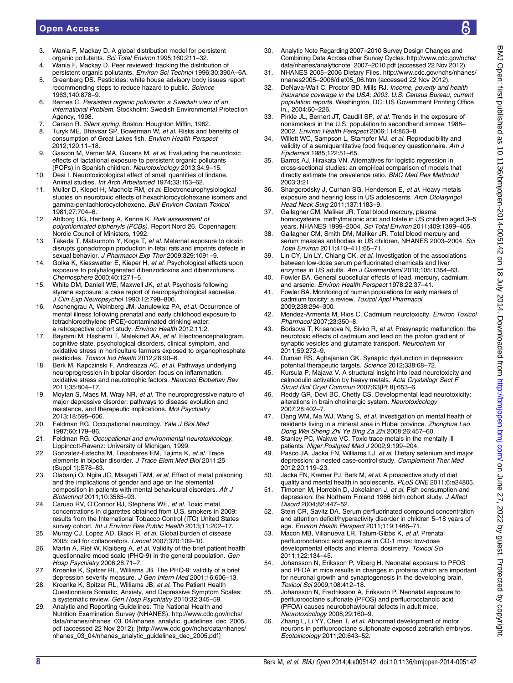- <span id="page-7-0"></span>3. Wania F, Mackay D. A global distribution model for persistent organic pollutants. Sci Total Environ 1995;160:211–32.
- 4. Wania F, Mackay D. Peer reviewed: tracking the distribution of persistent organic pollutants. Environ Sci Technol 1996;30:390A-6A.
- 5. Greenberg DS. Pesticides: white house advisory body issues report recommending steps to reduce hazard to public. Science 1963;140:878–9.
- 6. Bernes C. Persistent organic pollutants: a Swedish view of an International Problem. Stockholm: Swedish Environmental Protection Agency, 1998.
- 7. Carson R. Silent spring. Boston: Houghton Miffin, 1962.<br>8. Turyk ME, Bhaysar SP, Bowerman W, et al. Bisks and h
- Turyk ME, Bhavsar SP, Bowerman W, et al. Risks and benefits of consumption of Great Lakes fish. Environ Health Perspect 2012;120:11–18.
- 9. Gascon M, Verner MA, Guxens M, et al. Evaluating the neurotoxic effects of lactational exposure to persistent organic pollutants (POPs) in Spanish children. Neurotoxicology 2013;34:9–15.
- 10. Desi I. Neurotoxicological effect of small quantities of lindane. Animal studies. Int Arch Arbeitsmed 1974;33:153–62.
- 11. Muller D, Klepel H, Macholz RM, et al. Electroneurophysiological studies on neurotoxic effects of hexachlorocyclohexane isomers and gamma-pentachlorocyclohexene. Bull Environ Contam Toxicol 1981;27:704–6.
- 12. Ahlborg UG, Hanberg A, Kenne K. Risk assessment of polychlorinated biphenyls (PCBs). Report Nord 26. Copenhagen: Nordic Council of Ministers, 1992.
- 13. Takeda T, Matsumoto Y, Koga T, et al. Maternal exposure to dioxin disrupts gonadotropin production in fetal rats and imprints defects in sexual behavior. J Pharmacol Exp Ther 2009:329:1091-9.
- 14. Golka K, Kiesswetter E, Kieper H, et al. Psychological effects upon exposure to polyhalogenated dibenzodioxins and dibenzofurans. Chemosphere 2000;40:1271–5.
- 15. White DM, Daniell WE, Maxwell JK, et al. Psychosis following styrene exposure: a case report of neuropsychological sequelae. J Clin Exp Neuropsychol 1990;12:798–806.
- 16. Aschengrau A, Weinberg JM, Janulewicz PA, et al. Occurrence of mental illness following prenatal and early childhood exposure to tetrachloroethylene (PCE)-contaminated drinking water: a retrospective cohort study. Environ Health 2012;11:2.
- 17. Bayrami M, Hashemi T, Malekirad AA, et al. Electroencephalogram, cognitive state, psychological disorders, clinical symptom, and oxidative stress in horticulture farmers exposed to organophosphate pesticides. Toxicol Ind Health 2012;28:90–6.
- 18. Berk M, Kapczinski F, Andreazza AC, et al. Pathways underlying neuroprogression in bipolar disorder: focus on inflammation, oxidative stress and neurotrophic factors. Neurosci Biobehav Rev 2011;35:804–17.
- 19. Moylan S, Maes M, Wray NR, et al. The neuroprogressive nature of major depressive disorder: pathways to disease evolution and resistance, and therapeutic implications. Mol Psychiatry 2013;18:595–606.
- 20. Feldman RG. Occupational neurology. Yale J Biol Med 1987;60:179–86.
- 21. Feldman RG. Occupational and environmental neurotoxicology. Lippincott-Ravenz: University of Michigan, 1999.
- 22. Gonzalez-Estecha M, Trasobares EM, Tajima K, et al. Trace elements in bipolar disorder. J Trace Elem Med Biol 2011;25 (Suppl 1):S78–83.
- 23. Olabanji O, Ngila JC, Msagati TAM, et al. Effect of metal poisoning and the implications of gender and age on the elemental composition in patients with mental behavioural disorders. Afr J Biotechnol 2011;10:3585–93.
- 24. Caruso RV, O'Connor RJ, Stephens WE, et al. Toxic metal concentrations in cigarettes obtained from U.S. smokers in 2009: results from the International Tobacco Control (ITC) United States survey cohort. Int J Environ Res Public Health 2013;11:202-17.
- 25. Murray CJ, Lopez AD, Black R, et al. Global burden of disease 2005: call for collaborators. Lancet 2007;370:109–10.
- 26. Martin A, Rief W, Klaiberg A, et al. Validity of the brief patient health questionnaire mood scale (PHQ-9) in the general population. Gen Hosp Psychiatry 2006;28:71-7.
- 27. Kroenke K, Spitzer RL, Williams JB. The PHQ-9: validity of a brief depression severity measure. J Gen Intern Med 2001;16:606-13.
- 28. Kroenke K, Spitzer RL, Williams JB, et al. The Patient Health Questionnaire Somatic, Anxiety, and Depressive Symptom Scales: a systematic review. Gen Hosp Psychiatry 2010;32:345–59.
- 29. Analytic and Reporting Guidelines: The National Health and Nutrition Examination Survey (NHANES). [http://www.cdc.gov/nchs/](http://www.cdc.gov/nchs/data/nhanes/nhanes_03_04/nhanes_analytic_guidelines_dec_2005.pdf) [data/nhanes/nhanes\\_03\\_04/nhanes\\_analytic\\_guidelines\\_dec\\_2005.](http://www.cdc.gov/nchs/data/nhanes/nhanes_03_04/nhanes_analytic_guidelines_dec_2005.pdf) [pdf](http://www.cdc.gov/nchs/data/nhanes/nhanes_03_04/nhanes_analytic_guidelines_dec_2005.pdf) (accessed 22 Nov 2012); [\[http://www.cdc.gov/nchs/data/nhanes/](http://www.cdc.gov/nchs/data/nhanes/nhanes_03_04/nhanes_analytic_guidelines_dec_2005.pdf) [nhanes\\_03\\_04/nhanes\\_analytic\\_guidelines\\_dec\\_2005.pdf](http://www.cdc.gov/nchs/data/nhanes/nhanes_03_04/nhanes_analytic_guidelines_dec_2005.pdf)]
- 30. Analytic Note Regarding 2007–2010 Survey Design Changes and Combining Data Across other Survey Cycles. [http://www.cdc.gov/nchs/](http://www.cdc.gov/nchs/data/nhanes/analyticnote_2007–2010.pdf) [data/nhanes/analyticnote\\_2007](http://www.cdc.gov/nchs/data/nhanes/analyticnote_2007–2010.pdf)–2010.pdf (accessed 22 Nov 2012).
- 31. NHANES 2005–2006 Dietary Files. [http://www.cdc.gov/nchs/nhanes/](http://www.cdc.gov/nchs/nhanes/nhanes2005–2006/diet05_06.htm) nhanes2005–[2006/diet05\\_06.htm](http://www.cdc.gov/nchs/nhanes/nhanes2005–2006/diet05_06.htm) (accessed 22 Nov 2012).
- 32. DeNava-Walt C, Proctor BD, Mills RJ. Income, poverty and health insurance coverage in the USA: 2003. U.S. Census Bureau, current population reports. Washington, DC: US Government Printing Office. In., 2004:60–226.
- 33. Pirkle JL, Bernert JT, Caudill SP, et al. Trends in the exposure of nonsmokers in the U.S. population to secondhand smoke: 1988– 2002. Environ Health Perspect 2006;114:853–8.
- 34. Willett WC, Sampson L, Stampfer MJ, et al. Reproducibility and validity of a semiquantitative food frequency questionnaire. Am J Epidemiol 1985;122:51–65.
- 35. Barros AJ, Hirakata VN. Alternatives for logistic regression in cross-sectional studies: an empirical comparison of models that directly estimate the prevalence ratio. BMC Med Res Methodol 2003;3:21.
- 36. Shargorodsky J, Curhan SG, Henderson E, et al. Heavy metals exposure and hearing loss in US adolescents. Arch Otolaryngol Head Neck Surg 2011;137:1183–9.
- 37. Gallagher CM, Meliker JR. Total blood mercury, plasma homocysteine, methylmalonic acid and folate in US children aged 3–5 years, NHANES 1999–2004. Sci Total Environ 2011;409:1399–405.
- 38. Gallagher CM, Smith DM, Meliker JR. Total blood mercury and serum measles antibodies in US children, NHANES 2003-2004. Sci Total Environ 2011;410–411:65–71.
- 39. Lin CY, Lin LY, Chiang CK, et al. Investigation of the associations between low-dose serum perfluorinated chemicals and liver enzymes in US adults. Am J Gastroenterol 2010;105:1354-63
- 40. Fowler BA. General subcellular effects of lead, mercury, cadmium, and arsenic. Environ Health Perspect 1978;22:37–41.
- 41. Fowler BA. Monitoring of human populations for early markers of cadmium toxicity: a review. Toxicol Appl Pharmacol 2009;238:294–300.
- 42. Mendez-Armenta M, Rios C. Cadmium neurotoxicity. Environ Toxicol Pharmacol 2007;23:350–8.
- 43. Borisova T, Krisanova N, Sivko R, et al. Presynaptic malfunction: the neurotoxic effects of cadmium and lead on the proton gradient of synaptic vesicles and glutamate transport. Neurochem Int 2011;59:272–9.
- 44. Duman RS, Aghajanian GK. Synaptic dysfunction in depression: potential therapeutic targets. Science 2012;338:68–72.
- 45. Kursula P, Majava V. A structural insight into lead neurotoxicity and calmodulin activation by heavy metals. Acta Crystallogr Sect F Struct Biol Cryst Commun 2007;63(Pt 8):653–6.
- 46. Reddy GR, Devi BC, Chetty CS. Developmental lead neurotoxicity: alterations in brain cholinergic system. Neurotoxicology 2007;28:402–7.
- 47. Dang WM, Ma WJ, Wang S, et al. Investigation on mental health of residents living in a mineral area in Hubei province. Zhonghua Lao Dong Wei Sheng Zhi Ye Bing Za Zhi 2008;26:457–60.
- 48. Stanley PC, Wakwe VC. Toxic trace metals in the mentally ill patients. Niger Postgrad Med J 2002;9:199–204.
- 49. Pasco JA, Jacka FN, Williams LJ, et al. Dietary selenium and major depression: a nested case-control study. Complement Ther Med 2012;20:119–23.
- 50. Jacka FN, Kremer PJ, Berk M, et al. A prospective study of diet quality and mental health in adolescents. PLoS ONE 2011;6:e24805.
- 51. Timonen M, Horrobin D, Jokelainen J, et al. Fish consumption and depression: the Northern Finland 1966 birth cohort study. J Affect Disord 2004;82:447–52.
- 52. Stein CR, Savitz DA. Serum perfluorinated compound concentration and attention deficit/hyperactivity disorder in children 5–18 years of age. Environ Health Perspect 2011;119:1466–71.
- 53. Macon MB, Villanueva LR, Tatum-Gibbs K, et al. Prenatal perfluorooctanoic acid exposure in CD-1 mice: low-dose developmental effects and internal dosimetry. Toxicol Sci 2011;122:134–45.
- 54. Johansson N, Eriksson P, Viberg H. Neonatal exposure to PFOS and PFOA in mice results in changes in proteins which are important for neuronal growth and synaptogenesis in the developing brain. Toxicol Sci 2009;108:412–18.
- 55. Johansson N, Fredriksson A, Eriksson P. Neonatal exposure to perfluorooctane sulfonate (PFOS) and perfluorooctanoic acid (PFOA) causes neurobehavioural defects in adult mice. Neurotoxicology 2008;29:160–9.
- 56. Zhang L, Li YY, Chen T, et al. Abnormal development of motor neurons in perfluorooctane sulphonate exposed zebrafish embryos. Ecotoxicology 2011;20:643–52.